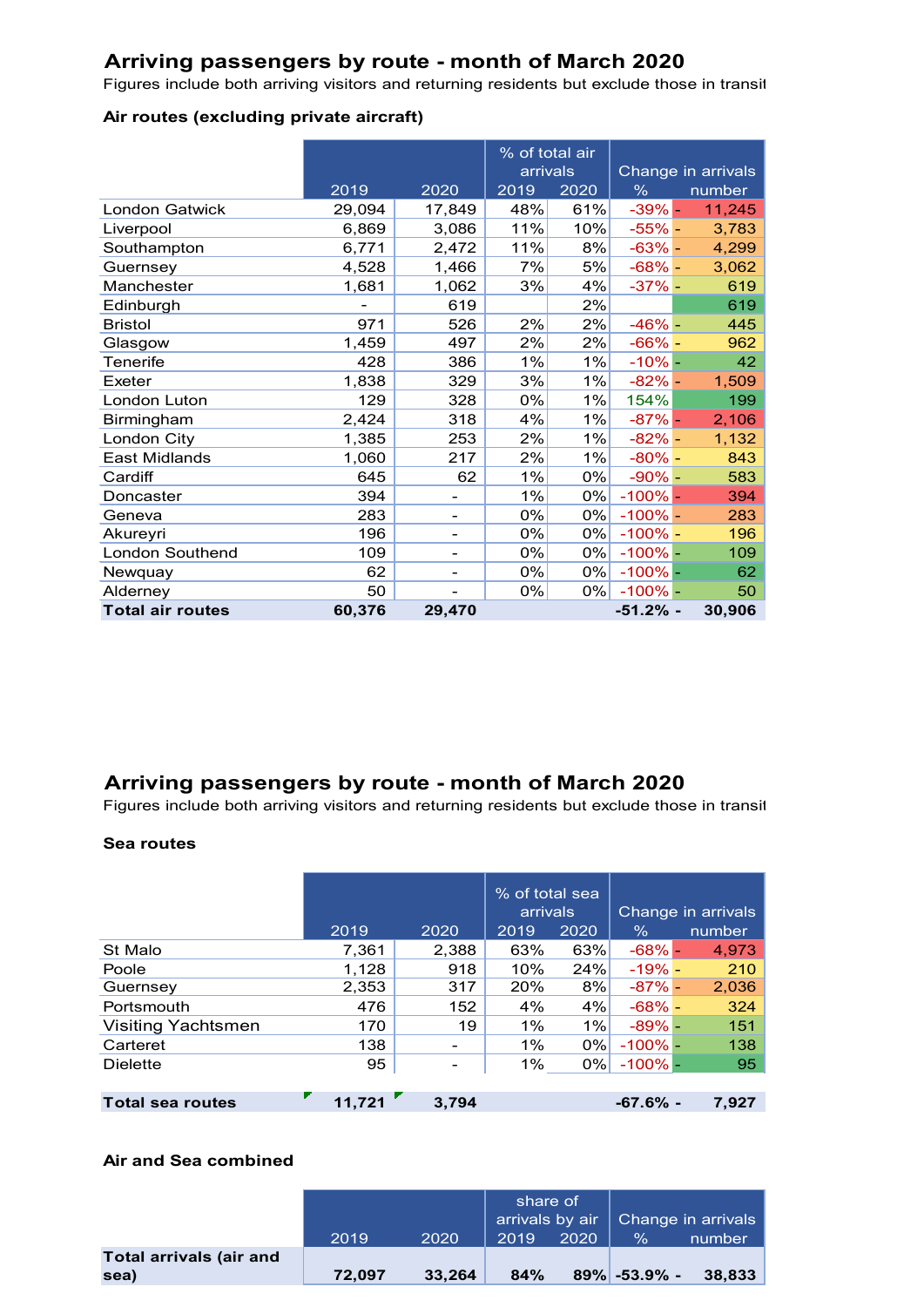### **Arriving passengers by route - month of March 2020**

Figures include both arriving visitors and returning residents but exclude those in transit

### **Air routes (excluding private aircraft)**

|                         |        |                          | % of total air<br>arrivals |       | Change in arrivals |        |
|-------------------------|--------|--------------------------|----------------------------|-------|--------------------|--------|
|                         | 2019   | 2020                     | 2019                       | 2020  | %                  | number |
| <b>London Gatwick</b>   | 29,094 | 17,849                   | 48%                        | 61%   | $-39%$ -           | 11,245 |
| Liverpool               | 6,869  | 3,086                    | 11%                        | 10%   | $-55% -$           | 3,783  |
| Southampton             | 6,771  | 2,472                    | 11%                        | 8%    | $-63% -$           | 4,299  |
| Guernsey                | 4,528  | 1,466                    | 7%                         | 5%    | $-68% -$           | 3,062  |
| Manchester              | 1,681  | 1,062                    | 3%                         | 4%    | $-37% -$           | 619    |
| Edinburgh               |        | 619                      |                            | 2%    |                    | 619    |
| <b>Bristol</b>          | 971    | 526                      | 2%                         | 2%    | $-46% -$           | 445    |
| Glasgow                 | 1,459  | 497                      | 2%                         | 2%    | $-66% -$           | 962    |
| Tenerife                | 428    | 386                      | 1%                         | 1%    | $-10%$ –           | 42     |
| Exeter                  | 1,838  | 329                      | 3%                         | 1%    | $-82% -$           | 1,509  |
| London Luton            | 129    | 328                      | 0%                         | 1%    | 154%               | 199    |
| Birmingham              | 2,424  | 318                      | 4%                         | 1%    | $-87%$ -           | 2,106  |
| London City             | 1,385  | 253                      | 2%                         | 1%    | $-82% -$           | 1,132  |
| <b>East Midlands</b>    | 1,060  | 217                      | 2%                         | 1%    | $-80\%$ -          | 843    |
| Cardiff                 | 645    | 62                       | 1%                         | $0\%$ | $-90% -$           | 583    |
| Doncaster               | 394    |                          | 1%                         | 0%    | $-100\%$ $-$       | 394    |
| Geneva                  | 283    |                          | 0%                         | 0%    | $-100\%$ -         | 283    |
| Akureyri                | 196    |                          | 0%                         | $0\%$ | $-100\%$ –         | 196    |
| London Southend         | 109    | -                        | 0%                         | $0\%$ | $-100% -$          | 109    |
| Newquay                 | 62     | $\overline{\phantom{0}}$ | 0%                         | $0\%$ | $-100\%$ -         | 62     |
| Alderney                | 50     |                          | 0%                         | $0\%$ | $-100\%$ -         | 50     |
| <b>Total air routes</b> | 60,376 | 29,470                   |                            |       | $-51.2%$ -         | 30,906 |

# **Arriving passengers by route - month of March 2020**

Figures include both arriving visitors and returning residents but exclude those in transit

### **Sea routes**

|                           | 2019<br>2020 |       | % of total sea<br>arrivals<br>2019<br>2020 |     | Change in arrivals<br>$\%$<br>number |       |
|---------------------------|--------------|-------|--------------------------------------------|-----|--------------------------------------|-------|
| St Malo                   | 7,361        | 2,388 | 63%                                        | 63% | $-68%$ -                             | 4,973 |
| Poole                     | 1,128        | 918   | 10%                                        | 24% | $-19% -$                             | 210   |
| Guernsey                  | 2,353        | 317   | 20%                                        | 8%  | $-87\%$ -                            | 2,036 |
| Portsmouth                | 476          | 152   | 4%                                         | 4%  | $-68% -$                             | 324   |
| <b>Visiting Yachtsmen</b> | 170          | 19    | 1%                                         | 1%  | $-89\%$ $-$                          | 151   |
| Carteret                  | 138          |       | 1%                                         | 0%  | $-100\%$ -                           | 138   |
| <b>Dielette</b>           | 95           |       | 1%                                         | 0%  | $-100\%$ -                           | 95    |
|                           |              |       |                                            |     |                                      |       |
| <b>Total sea routes</b>   | 11.721       | 3.794 |                                            |     | $-67.6\%$ -                          | 7.927 |

#### **Air and Sea combined**

|                         |        |        | share of |      | arrivals by air $\vert$ Change in arrivals |        |
|-------------------------|--------|--------|----------|------|--------------------------------------------|--------|
|                         | 2019   | 2020   | 2019     | 2020 | $\frac{1}{2}$                              | number |
| Total arrivals (air and |        |        |          |      |                                            |        |
| sea)                    | 72.097 | 33.264 | 84%      |      | $89\%$ -53.9% -                            | 38.833 |